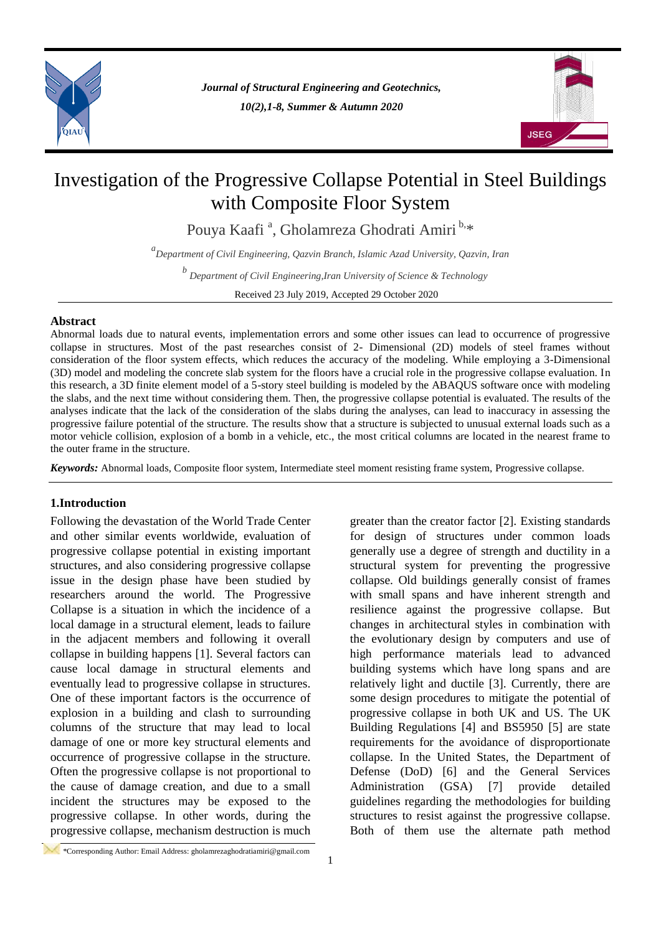

*Journal of Structural Engineering and Geotechnics, 10(2),1-8, Summer & Autumn 2020*



# Investigation of the Progressive Collapse Potential in Steel Buildings with Composite Floor System

Pouya Kaafi <sup>a</sup>, Gholamreza Ghodrati Amiri <sup>b,</sup>\*

*a Department of Civil Engineering, Qazvin Branch, Islamic Azad University, Qazvin, Iran*

*b Department of Civil Engineering,Iran University of Science & Technology*

Received 23 July 2019, Accepted 29 October 2020

## **Abstract**

Abnormal loads due to natural events, implementation errors and some other issues can lead to occurrence of progressive collapse in structures. Most of the past researches consist of 2- Dimensional (2D) models of steel frames without consideration of the floor system effects, which reduces the accuracy of the modeling. While employing a 3-Dimensional (3D) model and modeling the concrete slab system for the floors have a crucial role in the progressive collapse evaluation. In this research, a 3D finite element model of a 5-story steel building is modeled by the ABAQUS software once with modeling the slabs, and the next time without considering them. Then, the progressive collapse potential is evaluated. The results of the analyses indicate that the lack of the consideration of the slabs during the analyses, can lead to inaccuracy in assessing the progressive failure potential of the structure. The results show that a structure is subjected to unusual external loads such as a motor vehicle collision, explosion of a bomb in a vehicle, etc., the most critical columns are located in the nearest frame to the outer frame in the structure.

*Keywords:* Abnormal loads, Composite floor system, Intermediate steel moment resisting frame system, Progressive collapse.

## **1.Introduction**

Following the devastation of the World Trade Center and other similar events worldwide, evaluation of progressive collapse potential in existing important structures, and also considering progressive collapse issue in the design phase have been studied by researchers around the world. The Progressive Collapse is a situation in which the incidence of a local damage in a structural element, leads to failure in the adjacent members and following it overall collapse in building happens [1]. Several factors can cause local damage in structural elements and eventually lead to progressive collapse in structures. One of these important factors is the occurrence of explosion in a building and clash to surrounding columns of the structure that may lead to local damage of one or more key structural elements and occurrence of progressive collapse in the structure. Often the progressive collapse is not proportional to the cause of damage creation, and due to a small incident the structures may be exposed to the progressive collapse. In other words, during the progressive collapse, mechanism destruction is much greater than the creator factor [2]. Existing standards for design of structures under common loads generally use a degree of strength and ductility in a structural system for preventing the progressive collapse. Old buildings generally consist of frames with small spans and have inherent strength and resilience against the progressive collapse. But changes in architectural styles in combination with the evolutionary design by computers and use of high performance materials lead to advanced building systems which have long spans and are relatively light and ductile [3]. Currently, there are some design procedures to mitigate the potential of progressive collapse in both UK and US. The UK Building Regulations [4] and BS5950 [5] are state requirements for the avoidance of disproportionate collapse. In the United States, the Department of Defense (DoD) [6] and the General Services Administration (GSA) [7] provide detailed guidelines regarding the methodologies for building structures to resist against the progressive collapse. Both of them use the alternate path method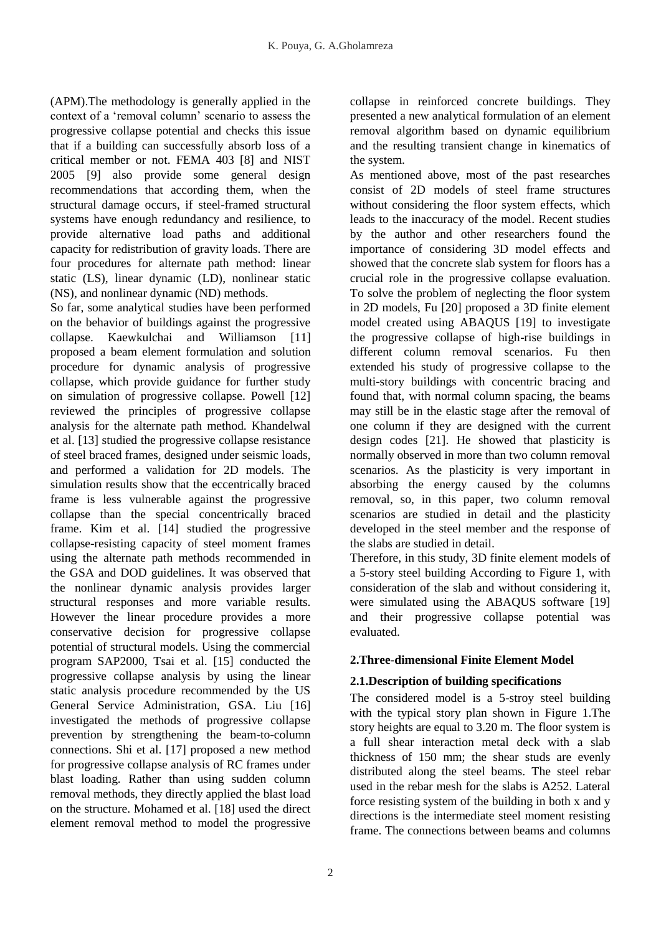(APM).The methodology is generally applied in the context of a 'removal column' scenario to assess the progressive collapse potential and checks this issue that if a building can successfully absorb loss of a critical member or not. FEMA 403 [8] and NIST 2005 [9] also provide some general design recommendations that according them, when the structural damage occurs, if steel-framed structural systems have enough redundancy and resilience, to provide alternative load paths and additional capacity for redistribution of gravity loads. There are four procedures for alternate path method: linear static (LS), linear dynamic (LD), nonlinear static (NS), and nonlinear dynamic (ND) methods.

So far, some analytical studies have been performed on the behavior of buildings against the progressive collapse. Kaewkulchai and Williamson [11] proposed a beam element formulation and solution procedure for dynamic analysis of progressive collapse, which provide guidance for further study on simulation of progressive collapse. Powell [12] reviewed the principles of progressive collapse analysis for the alternate path method. Khandelwal et al. [13] studied the progressive collapse resistance of steel braced frames, designed under seismic loads, and performed a validation for 2D models. The simulation results show that the eccentrically braced frame is less vulnerable against the progressive collapse than the special concentrically braced frame. Kim et al. [14] studied the progressive collapse-resisting capacity of steel moment frames using the alternate path methods recommended in the GSA and DOD guidelines. It was observed that the nonlinear dynamic analysis provides larger structural responses and more variable results. However the linear procedure provides a more conservative decision for progressive collapse potential of structural models. Using the commercial program SAP2000, Tsai et al. [15] conducted the progressive collapse analysis by using the linear static analysis procedure recommended by the US General Service Administration, GSA. Liu [16] investigated the methods of progressive collapse prevention by strengthening the beam-to-column connections. Shi et al. [17] proposed a new method for progressive collapse analysis of RC frames under blast loading. Rather than using sudden column removal methods, they directly applied the blast load on the structure. Mohamed et al. [18] used the direct element removal method to model the progressive

collapse in reinforced concrete buildings. They presented a new analytical formulation of an element removal algorithm based on dynamic equilibrium and the resulting transient change in kinematics of the system.

As mentioned above, most of the past researches consist of 2D models of steel frame structures without considering the floor system effects, which leads to the inaccuracy of the model. Recent studies by the author and other researchers found the importance of considering 3D model effects and showed that the concrete slab system for floors has a crucial role in the progressive collapse evaluation. To solve the problem of neglecting the floor system in 2D models, Fu [20] proposed a 3D finite element model created using ABAQUS [19] to investigate the progressive collapse of high-rise buildings in different column removal scenarios. Fu then extended his study of progressive collapse to the multi-story buildings with concentric bracing and found that, with normal column spacing, the beams may still be in the elastic stage after the removal of one column if they are designed with the current design codes [21]. He showed that plasticity is normally observed in more than two column removal scenarios. As the plasticity is very important in absorbing the energy caused by the columns removal, so, in this paper, two column removal scenarios are studied in detail and the plasticity developed in the steel member and the response of the slabs are studied in detail.

Therefore, in this study, 3D finite element models of a 5-story steel building According to Figure 1, with consideration of the slab and without considering it, were simulated using the ABAQUS software [19] and their progressive collapse potential was evaluated.

# **2.Three-dimensional Finite Element Model**

# **2.1.Description of building specifications**

The considered model is a 5-stroy steel building with the typical story plan shown in Figure 1.The story heights are equal to 3.20 m. The floor system is a full shear interaction metal deck with a slab thickness of 150 mm; the shear studs are evenly distributed along the steel beams. The steel rebar used in the rebar mesh for the slabs is A252. Lateral force resisting system of the building in both x and y directions is the intermediate steel moment resisting frame. The connections between beams and columns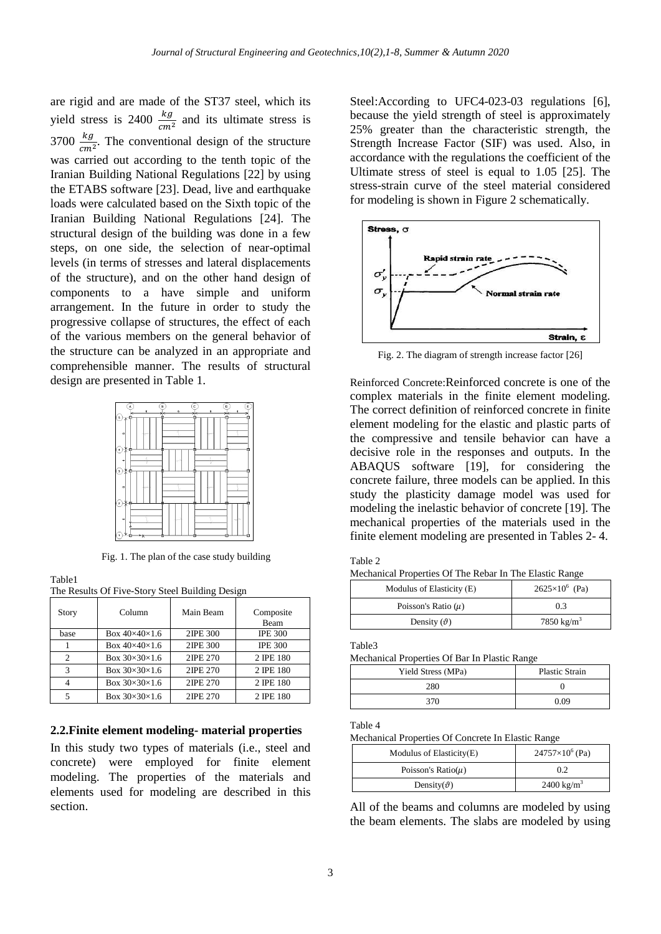are rigid and are made of the ST37 steel, which its yield stress is 2400  $\frac{ky}{cm^2}$  and its ultimate stress is 3700  $\frac{kg}{cm^2}$ . The conventional design of the structure was carried out according to the tenth topic of the Iranian Building National Regulations [22] by using the ETABS software [23]. Dead, live and earthquake loads were calculated based on the Sixth topic of the Iranian Building National Regulations [24]. The structural design of the building was done in a few steps, on one side, the selection of near-optimal levels (in terms of stresses and lateral displacements of the structure), and on the other hand design of components to a have simple and uniform arrangement. In the future in order to study the progressive collapse of structures, the effect of each of the various members on the general behavior of the structure can be analyzed in an appropriate and comprehensible manner. The results of structural design are presented in Table 1.



Fig. 1. The plan of the case study building

Table1

| The Results Of Five-Story Steel Building Design |  |  |
|-------------------------------------------------|--|--|
|-------------------------------------------------|--|--|

| <b>Story</b>  | Column                    | Main Beam | Composite<br>Beam |
|---------------|---------------------------|-----------|-------------------|
| base          | Box $40\times40\times1.6$ | 2IPE 300  | <b>IPE 300</b>    |
|               | Box $40\times40\times1.6$ | 2IPE 300  | <b>IPE 300</b>    |
| 2             | Box $30\times30\times1.6$ | 2IPE 270  | 2 IPE 180         |
| $\mathcal{R}$ | Box $30\times30\times1.6$ | 2IPE 270  | 2 IPE 180         |
|               | Box $30\times30\times1.6$ | 2IPE 270  | 2 IPE 180         |
|               | Box $30\times30\times1.6$ | 2IPE 270  | 2 IPE 180         |

## **2.2.Finite element modeling- material properties**

In this study two types of materials (i.e., steel and concrete) were employed for finite element modeling. The properties of the materials and elements used for modeling are described in this section.

Steel:According to UFC4-023-03 regulations [6], because the yield strength of steel is approximately 25% greater than the characteristic strength, the Strength Increase Factor (SIF) was used. Also, in accordance with the regulations the coefficient of the Ultimate stress of steel is equal to 1.05 [25]. The stress-strain curve of the steel material considered for modeling is shown in Figure 2 schematically.



Fig. 2. The diagram of strength increase factor [26]

Reinforced Concrete:Reinforced concrete is one of the complex materials in the finite element modeling. The correct definition of reinforced concrete in finite element modeling for the elastic and plastic parts of the compressive and tensile behavior can have a decisive role in the responses and outputs. In the ABAQUS software [19], for considering the concrete failure, three models can be applied. In this study the plasticity damage model was used for modeling the inelastic behavior of concrete [19]. The mechanical properties of the materials used in the finite element modeling are presented in Tables 2- 4.

| Table |  |
|-------|--|
|-------|--|

Mechanical Properties Of The Rebar In The Elastic Range

| Modulus of Elasticity (E) | $2625 \times 10^6$ (Pa) |
|---------------------------|-------------------------|
| Poisson's Ratio $(\mu)$   | 0.3                     |
| Density $(\vartheta)$     | 7850 kg/m <sup>3</sup>  |

Table3

Mechanical Properties Of Bar In Plastic Range

| Yield Stress (MPa) | <b>Plastic Strain</b> |
|--------------------|-----------------------|
| 280                |                       |
| 370                | 0.09                  |

## Table 4

Mechanical Properties Of Concrete In Elastic Range

| Modulus of Elasticity(E) | $24757\times10^{6}$ (Pa) |
|--------------------------|--------------------------|
| Poisson's Ratio( $\mu$ ) | 0.2                      |
| Density( $\vartheta$ )   | $2400 \text{ kg/m}^3$    |

All of the beams and columns are modeled by using the beam elements. The slabs are modeled by using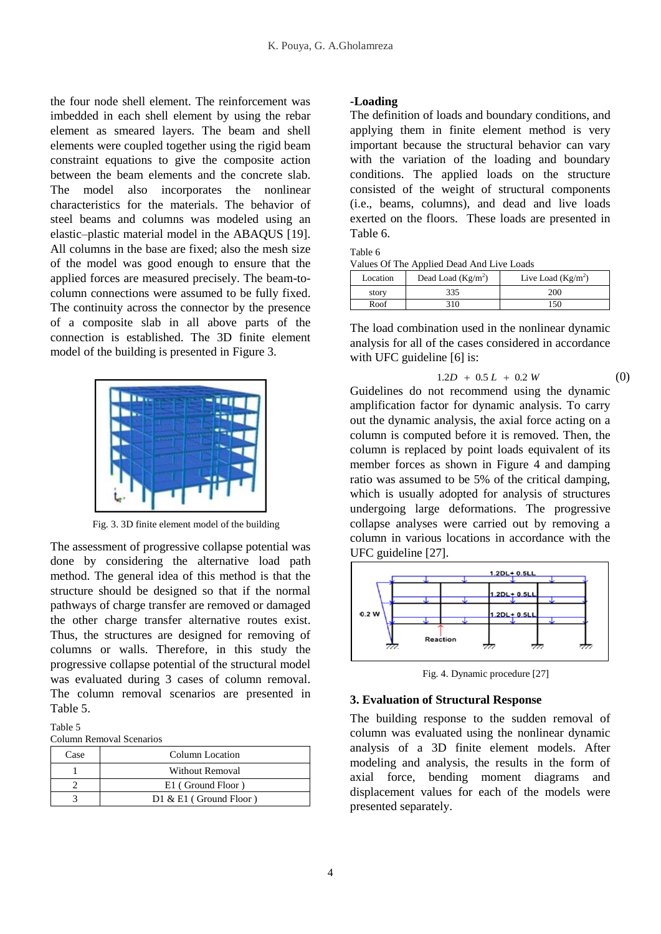the four node shell element. The reinforcement was imbedded in each shell element by using the rebar element as smeared layers. The beam and shell elements were coupled together using the rigid beam constraint equations to give the composite action between the beam elements and the concrete slab. The model also incorporates the nonlinear characteristics for the materials. The behavior of steel beams and columns was modeled using an elastic–plastic material model in the ABAQUS [19]. All columns in the base are fixed; also the mesh size of the model was good enough to ensure that the applied forces are measured precisely. The beam-tocolumn connections were assumed to be fully fixed. The continuity across the connector by the presence of a composite slab in all above parts of the connection is established. The 3D finite element model of the building is presented in Figure 3.



Fig. 3. 3D finite element model of the building

The assessment of progressive collapse potential was done by considering the alternative load path method. The general idea of this method is that the structure should be designed so that if the normal pathways of charge transfer are removed or damaged the other charge transfer alternative routes exist. Thus, the structures are designed for removing of columns or walls. Therefore, in this study the progressive collapse potential of the structural model was evaluated during 3 cases of column removal. The column removal scenarios are presented in Table 5.

#### Table 5

Column Removal Scenarios

| Case | Column Location           |  |
|------|---------------------------|--|
|      | Without Removal           |  |
|      | E1 (Ground Floor)         |  |
|      | $D1 \& E1$ (Ground Floor) |  |

#### **-Loading**

The definition of loads and boundary conditions, and applying them in finite element method is very important because the structural behavior can vary with the variation of the loading and boundary conditions. The applied loads on the structure consisted of the weight of structural components (i.e., beams, columns), and dead and live loads exerted on the floors. These loads are presented in Table 6.

## Table 6

Values Of The Applied Dead And Live Loads

| Location | Dead Load $(Kg/m2)$ | Live Load $(Kg/m^2)$ |
|----------|---------------------|----------------------|
| story    | 335                 | 200                  |
| Roof     | 310                 | 150                  |

The load combination used in the nonlinear dynamic analysis for all of the cases considered in accordance with UFC guideline [6] is:

$$
1.2D + 0.5L + 0.2W \tag{0}
$$

Guidelines do not recommend using the dynamic amplification factor for dynamic analysis. To carry out the dynamic analysis, the axial force acting on a column is computed before it is removed. Then, the column is replaced by point loads equivalent of its member forces as shown in Figure 4 and damping ratio was assumed to be 5% of the critical damping, which is usually adopted for analysis of structures undergoing large deformations. The progressive collapse analyses were carried out by removing a column in various locations in accordance with the UFC guideline [27].



Fig. 4. Dynamic procedure [27]

#### **3. Evaluation of Structural Response**

The building response to the sudden removal of column was evaluated using the nonlinear dynamic analysis of a 3D finite element models. After modeling and analysis, the results in the form of axial force, bending moment diagrams and displacement values for each of the models were presented separately.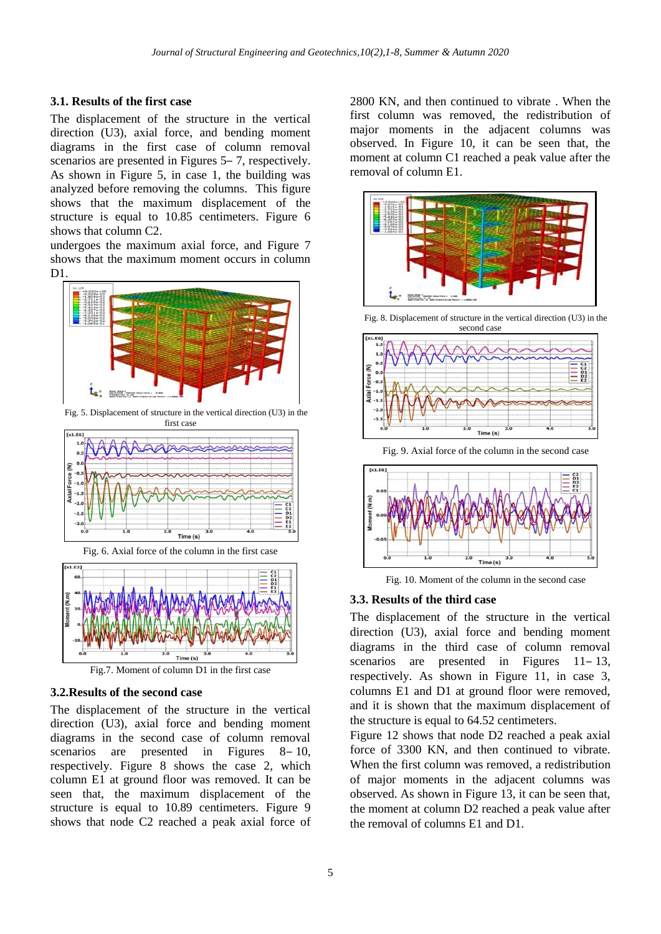## **3.1. Results of the first case**

The displacement of the structure in the vertical direction (U3), axial force, and bending moment diagrams in the first case of column removal scenarios are presented in Figures 5–7, respectively. As shown in Figure 5, in case 1, the building was analyzed before removing the columns. This figure shows that the maximum displacement of the structure is equal to 10.85 centimeters. Figure 6 shows that column C2.

undergoes the maximum axial force, and Figure 7 shows that the maximum moment occurs in column D<sub>1</sub>



Fig. 5. Displacement of structure in the vertical direction (U3) in the first case



Fig. 6. Axial force of the column in the first case



Fig.7. Moment of column D1 in the first case

## **3.2.Results of the second case**

The displacement of the structure in the vertical direction (U3), axial force and bending moment diagrams in the second case of column removal scenarios are presented in Figures  $8-10$ , respectively. Figure 8 shows the case 2, which column E1 at ground floor was removed. It can be seen that, the maximum displacement of the structure is equal to 10.89 centimeters. Figure 9 shows that node C2 reached a peak axial force of 2800 KN, and then continued to vibrate . When the first column was removed, the redistribution of major moments in the adjacent columns was observed. In Figure 10, it can be seen that, the moment at column C1 reached a peak value after the removal of column E1.



Fig. 8. Displacement of structure in the vertical direction (U3) in the



Fig. 9. Axial force of the column in the second case



Fig. 10. Moment of the column in the second case

## **3.3. Results of the third case**

The displacement of the structure in the vertical direction (U3), axial force and bending moment diagrams in the third case of column removal scenarios are presented in Figures  $11-13$ , respectively. As shown in Figure 11, in case 3, columns E1 and D1 at ground floor were removed, and it is shown that the maximum displacement of the structure is equal to 64.52 centimeters.

Figure 12 shows that node D2 reached a peak axial force of 3300 KN, and then continued to vibrate. When the first column was removed, a redistribution of major moments in the adjacent columns was observed. As shown in Figure 13, it can be seen that, the moment at column D2 reached a peak value after the removal of columns E1 and D1.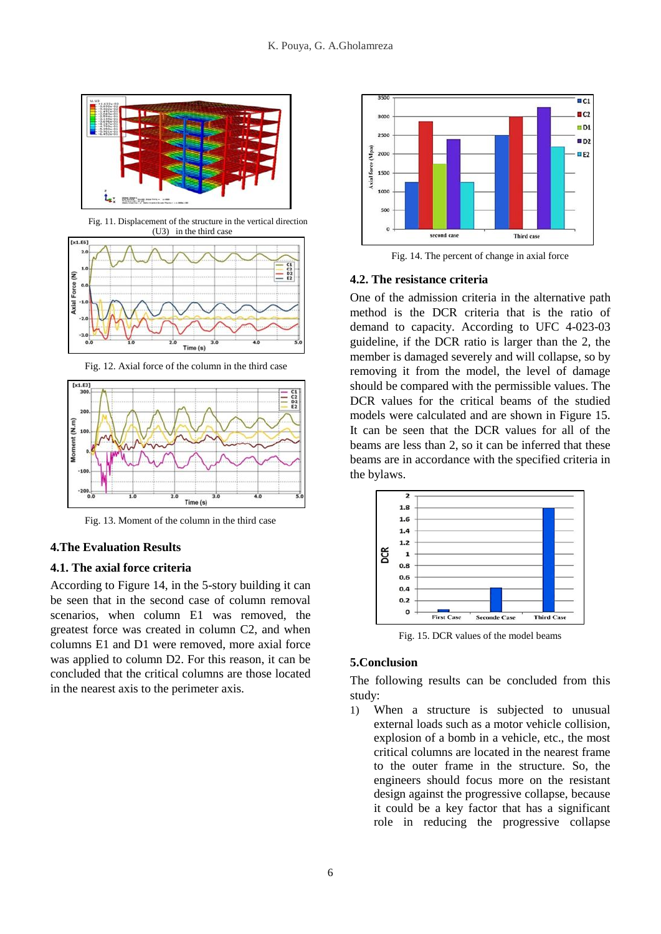

Fig. 11. Displacement of the structure in the vertical direction (U3) in the third case



Fig. 12. Axial force of the column in the third case



Fig. 13. Moment of the column in the third case

## **4.The Evaluation Results**

## **4.1. The axial force criteria**

According to Figure 14, in the 5-story building it can be seen that in the second case of column removal scenarios, when column E1 was removed, the greatest force was created in column C2, and when columns E1 and D1 were removed, more axial force was applied to column D2. For this reason, it can be concluded that the critical columns are those located in the nearest axis to the perimeter axis.



Fig. 14. The percent of change in axial force

## **4.2. The resistance criteria**

One of the admission criteria in the alternative path method is the DCR criteria that is the ratio of demand to capacity. According to UFC 4-023-03 guideline, if the DCR ratio is larger than the 2, the member is damaged severely and will collapse, so by removing it from the model, the level of damage should be compared with the permissible values. The DCR values for the critical beams of the studied models were calculated and are shown in Figure 15. It can be seen that the DCR values for all of the beams are less than 2, so it can be inferred that these beams are in accordance with the specified criteria in the bylaws.



Fig. 15. DCR values of the model beams

## **5.Conclusion**

The following results can be concluded from this study:

1) When a structure is subjected to unusual external loads such as a motor vehicle collision, explosion of a bomb in a vehicle, etc., the most critical columns are located in the nearest frame to the outer frame in the structure. So, the engineers should focus more on the resistant design against the progressive collapse, because it could be a key factor that has a significant role in reducing the progressive collapse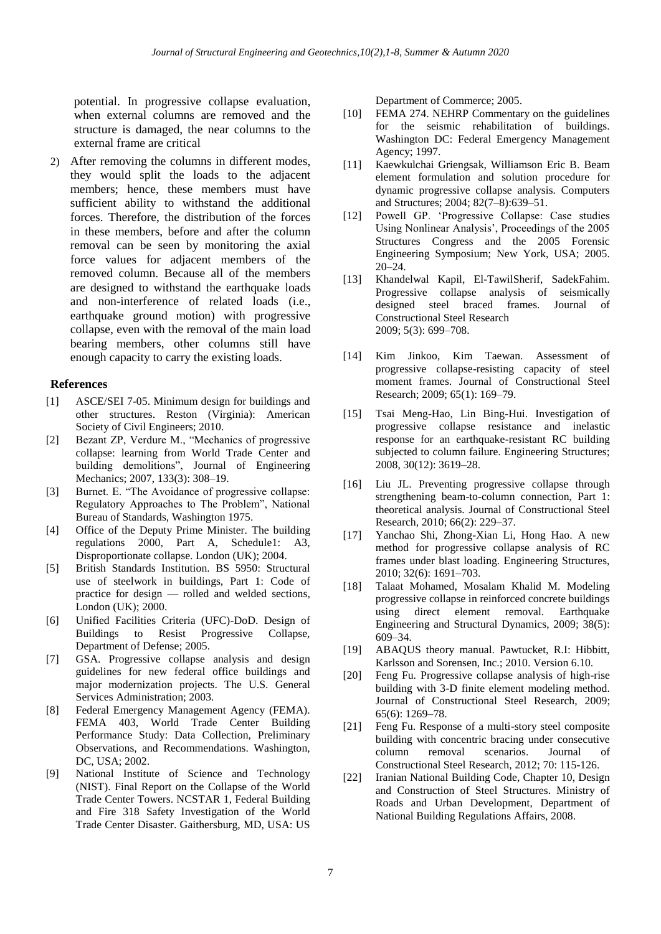potential. In progressive collapse evaluation, when external columns are removed and the structure is damaged, the near columns to the external frame are critical

2) After removing the columns in different modes, they would split the loads to the adjacent members; hence, these members must have sufficient ability to withstand the additional forces. Therefore, the distribution of the forces in these members, before and after the column removal can be seen by monitoring the axial force values for adjacent members of the removed column. Because all of the members are designed to withstand the earthquake loads and non-interference of related loads (i.e., earthquake ground motion) with progressive collapse, even with the removal of the main load bearing members, other columns still have enough capacity to carry the existing loads.

## **References**

- ASCE/SEI 7-05. Minimum design for buildings and other structures. Reston (Virginia): American Society of Civil Engineers; 2010.  $[1]$
- Bezant ZP, Verdure M., "Mechanics of progressive collapse: learning from World Trade Center and building demolitions", Journal of Engineering [Mechanics;](http://www.google.com/url?sa=t&rct=j&q=&esrc=s&source=web&cd=2&cad=rja&ved=0CC8QFjAB&url=http%3A%2F%2Fascelibrary.org%2Ftoc%2Fjenmdt%2F139%2F6&ei=0dUWU5SHFsOOrQf39YDQCg&usg=AFQjCNHFACppPSH-G8j5_yZckQ624GoUvg&sig2=IKn33ELD0wzvU3_jhPUetA) 2007, 133(3): 308–19. [2]
- Burnet. E. "The Avoidance of progressive collapse: Regulatory Approaches to The Problem", National Bureau of Standards, Washington 1975. [3]
- Office of the Deputy Prime Minister. The building regulations 2000, Part A, Schedule1: A3, Disproportionate collapse. London (UK); 2004. [4]
- British Standards Institution. BS 5950: Structural use of steelwork in buildings, Part 1: Code of practice for design — rolled and welded sections, London (UK); 2000. [5]
- Unified Facilities Criteria (UFC)-DoD. Design of Buildings to Resist Progressive Collapse, Department of Defense; 2005. [6]
- GSA. Progressive collapse analysis and design guidelines for new federal office buildings and major modernization projects. The U.S. General Services Administration; 2003. [7]
- Federal Emergency Management Agency (FEMA). FEMA 403, World Trade Center Building Performance Study: Data Collection, Preliminary Observations, and Recommendations. Washington, DC, USA; 2002. [8]
- National Institute of Science and Technology (NIST). Final Report on the Collapse of the World Trade Center Towers. NCSTAR 1, Federal Building and Fire 318 Safety Investigation of the World Trade Center Disaster. Gaithersburg, MD, USA: US [9]

Department of Commerce; 2005.

- FEMA 274. NEHRP Commentary on the guidelines for the seismic rehabilitation of buildings. Washington DC: Federal Emergency Management Agency; 1997. [10]
- Kaewkulchai Griengsak, Williamson Eric B. Beam element formulation and solution procedure for dynamic progressive collapse analysis. Computers and Structures; 2004; 82(7–8):639–51.  $[11]$
- Powell GP. 'Progressive Collapse: Case studies Using Nonlinear Analysis', Proceedings of the 2005 Structures Congress and the 2005 Forensic Engineering Symposium; New York, USA; 2005. 20–24. [12]
- Khandelwal Kapil, El-TawilSherif, SadekFahim. Progressive collapse analysis of seismically designed steel braced frames. Journal of Constructional Steel Research 2009; 5(3): 699–708.  $[13]$
- Kim Jinkoo, Kim Taewan. Assessment of progressive collapse-resisting capacity of steel moment frames. Journal of Constructional Steel Research; 2009; 65(1): 169–79.  $[14]$
- Tsai Meng-Hao, Lin Bing-Hui. Investigation of progressive collapse resistance and inelastic response for an earthquake-resistant RC building subjected to column failure. Engineering Structures; 2008, 30(12): 3619–28.  $[15]$
- Liu JL. Preventing progressive collapse through strengthening beam-to-column connection, Part 1: theoretical analysis. Journal of Constructional Steel Research, 2010; 66(2): 229–37.  $[16]$
- Yanchao Shi, Zhong-Xian Li, Hong Hao. A new method for progressive collapse analysis of RC frames under blast loading. Engineering Structures, 2010; 32(6): 1691–703.  $[17]$
- Talaat Mohamed, Mosalam Khalid M. Modeling progressive collapse in reinforced concrete buildings using direct element removal. Earthquake Engineering and Structural Dynamics, 2009; 38(5): 609–34. [18]
- ABAQUS theory manual. Pawtucket, R.I: Hibbitt, Karlsson and Sorensen, Inc.; 2010. Version 6.10. [19]
- Feng Fu. Progressive collapse analysis of high-rise building with 3-D finite element modeling method. Journal of Constructional Steel Research, 2009; 65(6): 1269–78. [20]
- Feng Fu. Response of a multi-story steel composite building with concentric bracing under consecutive column removal scenarios. Journal of Constructional Steel Research, 2012; 70: 115-126. [21]
- Iranian National Building Code, Chapter 10, Design and Construction of Steel Structures. Ministry of Roads and Urban Development, Department of National Building Regulations Affairs, 2008. [22]